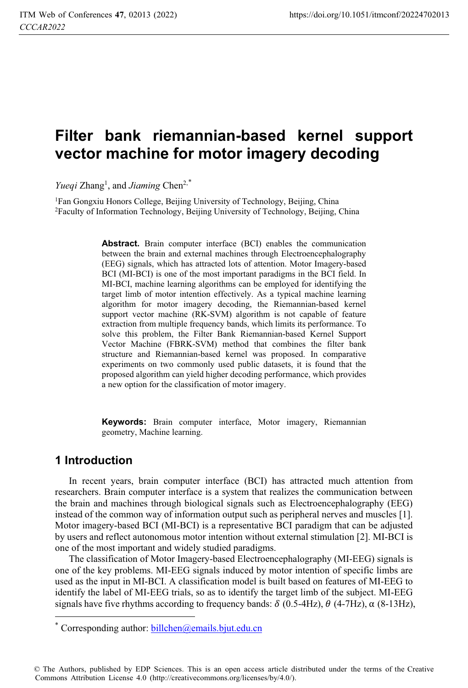# **Filter bank riemannian-based kernel support vector machine for motor imagery decoding**

Yueqi Zhang<sup>1</sup>, and *Jiaming* Chen<sup>2,\*</sup>

1Fan Gongxiu Honors College, Beijing University of Technology, Beijing, China 2Faculty of Information Technology, Beijing University of Technology, Beijing, China

> **Abstract.** Brain computer interface (BCI) enables the communication between the brain and external machines through Electroencephalography (EEG) signals, which has attracted lots of attention. Motor Imagery-based BCI (MI-BCI) is one of the most important paradigms in the BCI field. In MI-BCI, machine learning algorithms can be employed for identifying the target limb of motor intention effectively. As a typical machine learning algorithm for motor imagery decoding, the Riemannian-based kernel support vector machine (RK-SVM) algorithm is not capable of feature extraction from multiple frequency bands, which limits its performance. To solve this problem, the Filter Bank Riemannian-based Kernel Support Vector Machine (FBRK-SVM) method that combines the filter bank structure and Riemannian-based kernel was proposed. In comparative experiments on two commonly used public datasets, it is found that the proposed algorithm can yield higher decoding performance, which provides a new option for the classification of motor imagery.

> **Keywords:** Brain computer interface, Motor imagery, Riemannian geometry, Machine learning.

## **1 Introduction**

 $\overline{a}$ 

In recent years, brain computer interface (BCI) has attracted much attention from researchers. Brain computer interface is a system that realizes the communication between the brain and machines through biological signals such as Electroencephalography (EEG) instead of the common way of information output such as peripheral nerves and muscles [1]. Motor imagery-based BCI (MI-BCI) is a representative BCI paradigm that can be adjusted by users and reflect autonomous motor intention without external stimulation [2]. MI-BCI is one of the most important and widely studied paradigms.

The classification of Motor Imagery-based Electroencephalography (MI-EEG) signals is one of the key problems. MI-EEG signals induced by motor intention of specific limbs are used as the input in MI-BCI. A classification model is built based on features of MI-EEG to identify the label of MI-EEG trials, so as to identify the target limb of the subject. MI-EEG signals have five rhythms according to frequency bands:  $\delta$  (0.5-4Hz),  $\theta$  (4-7Hz),  $\alpha$  (8-13Hz),

© The Authors, published by EDP Sciences. This is an open access article distributed under the terms of the Creative Commons Attribution License 4.0 (http://creativecommons.org/licenses/by/4.0/).

Corresponding author: billchen@emails.bjut.edu.cn \*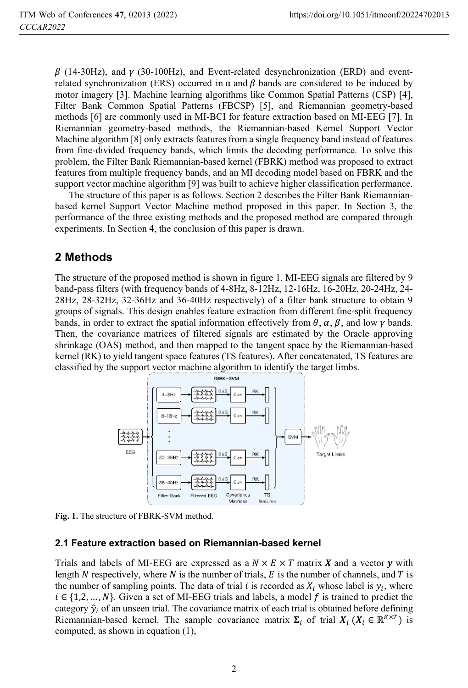$\beta$  (14-30Hz), and  $\gamma$  (30-100Hz), and Event-related desynchronization (ERD) and eventrelated synchronization (ERS) occurred in  $\alpha$  and  $\beta$  bands are considered to be induced by motor imagery [3]. Machine learning algorithms like Common Spatial Patterns (CSP) [4], Filter Bank Common Spatial Patterns (FBCSP) [5], and Riemannian geometry-based methods [6] are commonly used in MI-BCI for feature extraction based on MI-EEG [7]. In Riemannian geometry-based methods, the Riemannian-based Kernel Support Vector Machine algorithm [8] only extracts features from a single frequency band instead of features from fine-divided frequency bands, which limits the decoding performance. To solve this problem, the Filter Bank Riemannian-based kernel (FBRK) method was proposed to extract features from multiple frequency bands, and an MI decoding model based on FBRK and the support vector machine algorithm [9] was built to achieve higher classification performance.

The structure of this paper is as follows. Section 2 describes the Filter Bank Riemannianbased kernel Support Vector Machine method proposed in this paper. In Section 3, the performance of the three existing methods and the proposed method are compared through experiments. In Section 4, the conclusion of this paper is drawn.

## **2 Methods**

The structure of the proposed method is shown in figure 1. MI-EEG signals are filtered by 9 band-pass filters (with frequency bands of 4-8Hz, 8-12Hz, 12-16Hz, 16-20Hz, 20-24Hz, 24- 28Hz, 28-32Hz, 32-36Hz and 36-40Hz respectively) of a filter bank structure to obtain 9 groups of signals. This design enables feature extraction from different fine-split frequency bands, in order to extract the spatial information effectively from  $\theta$ ,  $\alpha$ ,  $\beta$ , and low  $\gamma$  bands. Then, the covariance matrices of filtered signals are estimated by the Oracle approving shrinkage (OAS) method, and then mapped to the tangent space by the Riemannian-based kernel (RK) to yield tangent space features (TS features). After concatenated, TS features are classified by the support vector machine algorithm to identify the target limbs.



**Fig. 1.** The structure of FBRK-SVM method.

#### **2.1 Feature extraction based on Riemannian-based kernel**

Trials and labels of MI-EEG are expressed as a  $N \times E \times T$  matrix X and a vector y with length N respectively where N is the number of trials F is the number of channels and T is length N respectively, where N is the number of trials, E is the number of channels, and T is<br>the number of sampling points. The data of trial i is recorded as X, whose label is y, where the number of sampling points. The data of trial *i* is recorded as  $X_i$  whose label is  $y_i$ , where  $i \in \{1, 2, ..., N\}$ . Given a set of MI-EEG trials and labels, a model f is trained to predict the category  $\hat{y}_i$  of an unseen trial. The covariance matrix of each trial is obtained before defining Riemannian-based kernel. The sample covariance matrix  $\Sigma_i$  of trial  $X_i$  ( $X_i \in \mathbb{R}^{E \times T}$ ) is computed, as shown in equation (1),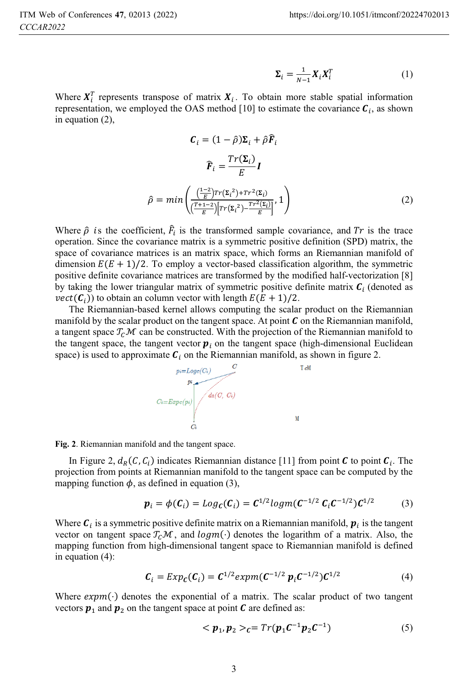$$
\Sigma_i = \frac{1}{N-1} X_i X_i^T \tag{1}
$$

Where  $X_i^r$  represents transpose of matrix  $X_i$ . To obtain more stable spatial information we employed the OAS method [10] to estimate the covariance  $\Gamma$ , as shown representation, we employed the OAS method [10] to estimate the covariance  $C_i$ , as shown in equation (2),

$$
\mathcal{C}_{i} = (1 - \hat{\rho})\Sigma_{i} + \hat{\rho}\widehat{\mathbf{F}}_{i}
$$
\n
$$
\widehat{\mathbf{F}}_{i} = \frac{Tr(\Sigma_{i})}{E}\mathbf{I}
$$
\n
$$
\hat{\rho} = min\left(\frac{\left(\frac{1-2}{E}\right)Tr(\Sigma_{i}^{2}) + Tr^{2}(\Sigma_{i})}{\left(\frac{T+1-2}{E}\right)\left[Tr(\Sigma_{i}^{2}) - \frac{Tr^{2}(\Sigma_{i})}{E}\right]}, 1\right)
$$
\n(2)

Where  $\hat{\rho}$  is the coefficient,  $F_i$  is the transformed sample covariance, and Tr is the trace<br>operation. Since the covariance matrix is a symmetric positive definition (SPD) matrix, the operation. Since the covariance matrix is a symmetric positive definition (SPD) matrix, the space of covariance matrices is an matrix space, which forms an Riemannian manifold of dimension  $E(E + 1)/2$ . To employ a vector-based classification algorithm, the symmetric positive definite covariance matrices are transformed by the modified half-vectorization [8] by taking the lower triangular matrix of symmetric positive definite matrix  $C_i$  (denoted as  $vect(\mathcal{C}_i)$  to obtain an column vector with length  $E(E + 1)/2$ .

The Riemannian-based kernel allows computing the scalar product on the Riemannian manifold by the scalar product on the tangent space. At point  $\mathcal C$  on the Riemannian manifold, a tangent space  $T_c \mathcal{M}$  can be constructed. With the projection of the Riemannian manifold to the tangent space, the tangent vector  $p_i$  on the tangent space (high-dimensional Euclidean space) is used to approximate  $C_i$  on the Riemannian manifold, as shown in figure 2.



**Fig. 2**. Riemannian manifold and the tangent space.

In Figure 2,  $d_R(C, C_i)$  indicates Riemannian distance [11] from point C to point  $C_i$ . The projection from points at Riemannian manifold to the tangent space can be computed by the mapping function  $\phi$ , as defined in equation (3),

$$
\boldsymbol{p}_i = \phi(\boldsymbol{C}_i) = Log_{\boldsymbol{C}}(\boldsymbol{C}_i) = \boldsymbol{C}^{1/2} log_{\boldsymbol{m}}(\boldsymbol{C}^{-1/2} \boldsymbol{C}_i \boldsymbol{C}^{-1/2}) \boldsymbol{C}^{1/2}
$$
(3)

Where  $\mathbf{C}_i$  is a symmetric positive definite matrix on a Riemannian manifold,  $\mathbf{p}_i$  is the tangent vector on tangent space  $T_c\mathcal{M}$ , and  $log(m(\cdot))$  denotes the logarithm of a matrix. Also, the mapping function from high-dimensional tangent space to Riemannian manifold is defined in equation (4):

$$
C_i = Exp_C(C_i) = C^{1/2} expm(C^{-1/2} p_i C^{-1/2}) C^{1/2}
$$
 (4)

Where  $expm(\cdot)$  denotes the exponential of a matrix. The scalar product of two tangent vectors  $p_1$  and  $p_2$  on the tangent space at point  $C$  are defined as:

$$
\langle p_1, p_2 \rangle_C = Tr(p_1 C^{-1} p_2 C^{-1}) \tag{5}
$$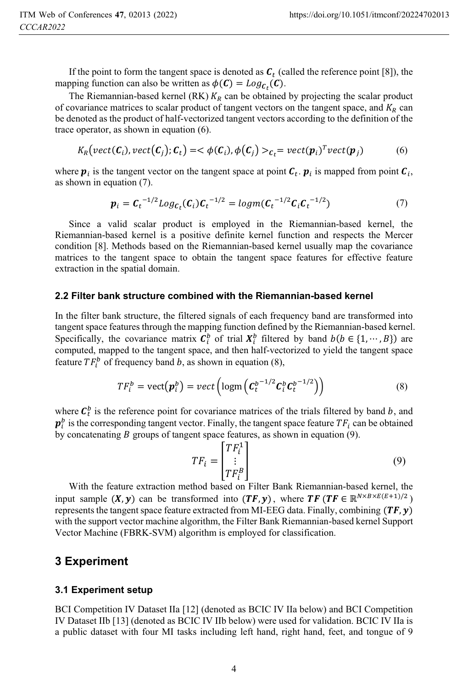If the point to form the tangent space is denoted as  $C_t$  (called the reference point [8]), the mapping function can also be written as  $\phi(C) = Log_{C_{\epsilon}}(C)$ .

The Riemannian-based kernel (RK)  $K_R$  can be obtained by projecting the scalar product of covariance matrices to scalar product of tangent vectors on the tangent space, and  $K_R$  can be denoted as the product of half-vectorized tangent vectors according to the definition of the trace operator, as shown in equation (6).

$$
K_R\big(\text{vect}(\mathcal{C}_i),\text{vect}(\mathcal{C}_j);\mathcal{C}_t\big)=<\phi(\mathcal{C}_i),\phi(\mathcal{C}_j)>c_t=\text{vect}(\mathbf{p}_i)^T\text{vect}(\mathbf{p}_j)\tag{6}
$$

where  $p_i$  is the tangent vector on the tangent space at point  $C_t$ .  $p_i$  is mapped from point  $C_i$ , as shown in equation (7).

$$
\boldsymbol{p}_i = \boldsymbol{C}_t^{-1/2} Log_{\boldsymbol{C}_t}(\boldsymbol{C}_i) \boldsymbol{C}_t^{-1/2} = logm(\boldsymbol{C}_t^{-1/2} \boldsymbol{C}_i \boldsymbol{C}_t^{-1/2})
$$
(7)

Since a valid scalar product is employed in the Riemannian-based kernel, the Riemannian-based kernel is a positive definite kernel function and respects the Mercer condition [8]. Methods based on the Riemannian-based kernel usually map the covariance matrices to the tangent space to obtain the tangent space features for effective feature extraction in the spatial domain.

#### **2.2 Filter bank structure combined with the Riemannian-based kernel**

In the filter bank structure, the filtered signals of each frequency band are transformed into tangent space features through the mapping function defined by the Riemannian-based kernel. Specifically, the covariance matrix  $\mathcal{C}_i^b$  of trial  $X_i^b$  filtered by band  $b(b \in \{1, \dots, B\})$  are computed manned to the tangent space and then half-vectorized to vield the tangent space computed, mapped to the tangent space, and then half-vectorized to yield the tangent space feature  $TF_i^b$  of frequency band b, as shown in equation (8),

$$
TF_i^b = \text{vect}(\boldsymbol{p}_i^b) = \text{vect}\left(\text{logm}\left(\boldsymbol{C}_t^{b^{-1/2}}\boldsymbol{C}_i^b\boldsymbol{C}_t^{b^{-1/2}}\right)\right) \tag{8}
$$

where  $\mathcal{C}_t^b$  is the reference point for covariance matrices of the trials filtered by band b, and  $\mathbf{r}^b$  is the corresponding tangent vector. Finally, the tangent space feature  $TF$ , can be obtained by concatenating B groups of tangent space features, as shown in equation (9).  $\frac{b}{i}$  is the corresponding tangent vector. Finally, the tangent space feature  $TF_i$  can be obtained v concatenating R groups of tangent space features, as shown in equation (9)

$$
TF_i = \begin{bmatrix} TF_i^1 \\ \vdots \\ TF_i^B \end{bmatrix} \tag{9}
$$

With the feature extraction method based on Filter Bank Riemannian-based kernel, the input sample  $(X, y)$  can be transformed into  $(TF, y)$ , where  $TF (TF \in \mathbb{R}^{N \times B \times E(E+1)/2})$ represents the tangent space feature extracted from MI-EEG data. Finally, combining  $(TF, y)$ with the support vector machine algorithm, the Filter Bank Riemannian-based kernel Support Vector Machine (FBRK-SVM) algorithm is employed for classification.

### **3 Experiment**

#### **3.1 Experiment setup**

BCI Competition IV Dataset IIa [12] (denoted as BCIC IV IIa below) and BCI Competition IV Dataset IIb [13] (denoted as BCIC IV IIb below) were used for validation. BCIC IV IIa is a public dataset with four MI tasks including left hand, right hand, feet, and tongue of 9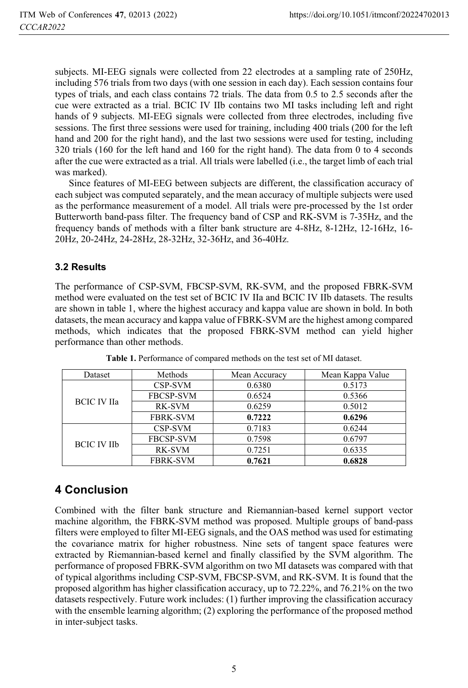subjects. MI-EEG signals were collected from 22 electrodes at a sampling rate of 250Hz, including 576 trials from two days (with one session in each day). Each session contains four types of trials, and each class contains 72 trials. The data from 0.5 to 2.5 seconds after the cue were extracted as a trial. BCIC IV IIb contains two MI tasks including left and right hands of 9 subjects. MI-EEG signals were collected from three electrodes, including five sessions. The first three sessions were used for training, including 400 trials (200 for the left hand and 200 for the right hand), and the last two sessions were used for testing, including 320 trials (160 for the left hand and 160 for the right hand). The data from 0 to 4 seconds after the cue were extracted as a trial. All trials were labelled (i.e., the target limb of each trial was marked).

Since features of MI-EEG between subjects are different, the classification accuracy of each subject was computed separately, and the mean accuracy of multiple subjects were used as the performance measurement of a model. All trials were pre-processed by the 1st order Butterworth band-pass filter. The frequency band of CSP and RK-SVM is 7-35Hz, and the frequency bands of methods with a filter bank structure are 4-8Hz, 8-12Hz, 12-16Hz, 16- 20Hz, 20-24Hz, 24-28Hz, 28-32Hz, 32-36Hz, and 36-40Hz.

#### **3.2 Results**

The performance of CSP-SVM, FBCSP-SVM, RK-SVM, and the proposed FBRK-SVM method were evaluated on the test set of BCIC IV IIa and BCIC IV IIb datasets. The results are shown in table 1, where the highest accuracy and kappa value are shown in bold. In both datasets, the mean accuracy and kappa value of FBRK-SVM are the highest among compared methods, which indicates that the proposed FBRK-SVM method can yield higher performance than other methods.

| Dataset            | Methods          | Mean Accuracy | Mean Kappa Value |
|--------------------|------------------|---------------|------------------|
| <b>BCIC IV IIa</b> | CSP-SVM          | 0.6380        | 0.5173           |
|                    | <b>FBCSP-SVM</b> | 0.6524        | 0.5366           |
|                    | RK-SVM           | 0.6259        | 0.5012           |
|                    | <b>FBRK-SVM</b>  | 0.7222        | 0.6296           |
| <b>BCIC IV IIb</b> | CSP-SVM          | 0.7183        | 0.6244           |
|                    | <b>FBCSP-SVM</b> | 0.7598        | 0.6797           |
|                    | RK-SVM           | 0.7251        | 0.6335           |
|                    | <b>FBRK-SVM</b>  | 0.7621        | 0.6828           |
|                    |                  |               |                  |

**Table 1.** Performance of compared methods on the test set of MI dataset.

# **4 Conclusion**

Combined with the filter bank structure and Riemannian-based kernel support vector machine algorithm, the FBRK-SVM method was proposed. Multiple groups of band-pass filters were employed to filter MI-EEG signals, and the OAS method was used for estimating the covariance matrix for higher robustness. Nine sets of tangent space features were extracted by Riemannian-based kernel and finally classified by the SVM algorithm. The performance of proposed FBRK-SVM algorithm on two MI datasets was compared with that of typical algorithms including CSP-SVM, FBCSP-SVM, and RK-SVM. It is found that the proposed algorithm has higher classification accuracy, up to 72.22%, and 76.21% on the two datasets respectively. Future work includes: (1) further improving the classification accuracy with the ensemble learning algorithm; (2) exploring the performance of the proposed method in inter-subject tasks.